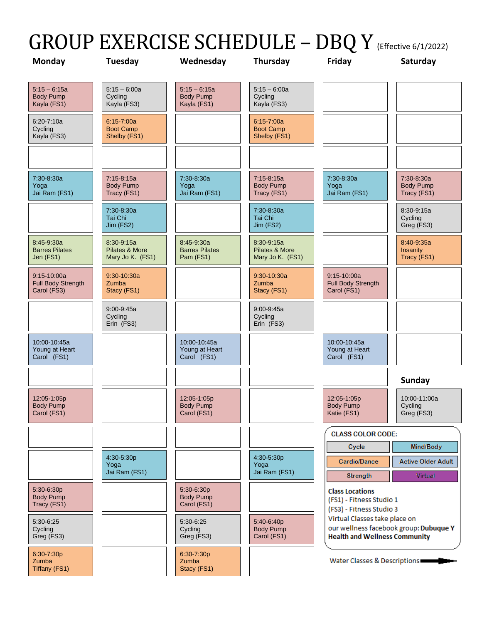## GROUP EXERCISE SCHEDULE - DBQ Y (Effective 6/1/2022)

| <b>Monday</b>                                        | Tuesday                                            | Wednesday                                         | Thursday                                         | Friday                                                                         | Saturday                                      |
|------------------------------------------------------|----------------------------------------------------|---------------------------------------------------|--------------------------------------------------|--------------------------------------------------------------------------------|-----------------------------------------------|
| $5:15 - 6:15a$<br><b>Body Pump</b><br>Kayla (FS1)    | $5:15 - 6:00a$<br>Cycling<br>Kayla (FS3)           | $5:15 - 6:15a$<br><b>Body Pump</b><br>Kayla (FS1) | $5:15 - 6:00a$<br>Cycling<br>Kayla (FS3)         |                                                                                |                                               |
| $6:20 - 7:10a$<br>Cycling<br>Kayla (FS3)             | $6:15 - 7:00a$<br><b>Boot Camp</b><br>Shelby (FS1) |                                                   | 6:15-7:00a<br><b>Boot Camp</b><br>Shelby (FS1)   |                                                                                |                                               |
|                                                      |                                                    |                                                   |                                                  |                                                                                |                                               |
| 7:30-8:30a<br>Yoga<br>Jai Ram (FS1)                  | $7:15-8:15a$<br><b>Body Pump</b><br>Tracy (FS1)    | 7:30-8:30a<br>Yoga<br>Jai Ram (FS1)               | $7:15-8:15a$<br><b>Body Pump</b><br>Tracy (FS1)  | 7:30-8:30a<br>Yoga<br>Jai Ram (FS1)                                            | 7:30-8:30a<br><b>Body Pump</b><br>Tracy (FS1) |
|                                                      | 7:30-8:30a<br>Tai Chi<br>Jim (FS2)                 |                                                   | 7:30-8:30a<br>Tai Chi<br>Jim (FS2)               |                                                                                | 8:30-9:15a<br>Cycling<br>Greg (FS3)           |
| 8:45-9:30a<br><b>Barres Pilates</b><br>Jen (FS1)     | 8:30-9:15a<br>Pilates & More<br>Mary Jo K. (FS1)   | 8:45-9:30a<br><b>Barres Pilates</b><br>Pam (FS1)  | 8:30-9:15a<br>Pilates & More<br>Mary Jo K. (FS1) |                                                                                | 8:40-9:35a<br>Insanity<br>Tracy (FS1)         |
| $9:15 - 10:00a$<br>Full Body Strength<br>Carol (FS3) | 9:30-10:30a<br>Zumba<br>Stacy (FS1)                |                                                   | $9:30 - 10:30a$<br>Zumba<br>Stacy (FS1)          | $9:15 - 10:00a$<br>Full Body Strength<br>Carol (FS1)                           |                                               |
|                                                      | $9:00 - 9:45a$<br>Cycling<br>Erin (FS3)            |                                                   | $9:00 - 9:45a$<br>Cycling<br>Erin (FS3)          |                                                                                |                                               |
| 10:00-10:45a<br>Young at Heart<br>Carol (FS1)        |                                                    | 10:00-10:45a<br>Young at Heart<br>Carol (FS1)     |                                                  | 10:00-10:45a<br>Young at Heart<br>Carol (FS1)                                  |                                               |
|                                                      |                                                    |                                                   |                                                  |                                                                                | <b>Sunday</b>                                 |
| 12:05-1:05p<br><b>Body Pump</b><br>Carol (FS1)       |                                                    | 12:05-1:05p<br><b>Body Pump</b><br>Carol (FS1)    |                                                  | 12:05-1:05p<br><b>Body Pump</b><br>Katie (FS1)                                 | 10:00-11:00a<br>Cycling<br>Greg (FS3)         |
|                                                      |                                                    |                                                   |                                                  | <b>CLASS COLOR CODE:</b>                                                       |                                               |
|                                                      | 4:30-5:30p<br>Yoga                                 |                                                   | 4:30-5:30p<br>Yoga                               | Cycle<br>Cardio/Dance                                                          | Mind/Body<br>Active Older Adult               |
|                                                      | Jai Ram (FS1)                                      |                                                   | Jai Ram (FS1)                                    | Strength                                                                       | Virtual                                       |
| 5:30-6:30p<br><b>Body Pump</b><br>Tracy (FS1)        |                                                    | 5:30-6:30p<br><b>Body Pump</b><br>Carol (FS1)     |                                                  | <b>Class Locations</b><br>(FS1) - Fitness Studio 1<br>(FS3) - Fitness Studio 3 |                                               |
| 5:30-6:25<br>Cycling<br>Greg (FS3)                   |                                                    | 5:30-6:25<br>Cycling<br>Greg (FS3)                | 5:40-6:40p<br><b>Body Pump</b><br>Carol (FS1)    | Virtual Classes take place on<br><b>Health and Wellness Community</b>          | our wellness facebook group: Dubuque Y        |
| 6:30-7:30p<br>Zumba<br>Tiffany (FS1)                 |                                                    | 6:30-7:30p<br>Zumba<br>Stacy (FS1)                |                                                  | Water Classes & Descriptions                                                   |                                               |